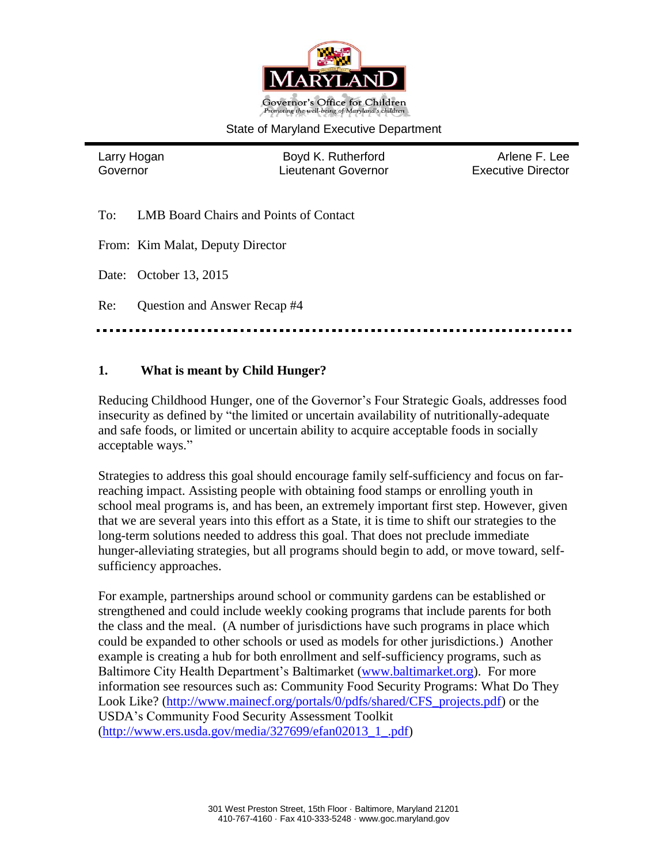

#### State of Maryland Executive Department

Larry Hogan **Boyd K. Rutherford** Arlene F. Lee Governor Lieutenant Governor Executive Director

To: LMB Board Chairs and Points of Contact

From: Kim Malat, Deputy Director

Date: October 13, 2015

Re: Question and Answer Recap #4

#### **1. What is meant by Child Hunger?**

Reducing Childhood Hunger, one of the Governor's Four Strategic Goals, addresses food insecurity as defined by "the limited or uncertain availability of nutritionally-adequate and safe foods, or limited or uncertain ability to acquire acceptable foods in socially acceptable ways."

Strategies to address this goal should encourage family self-sufficiency and focus on farreaching impact. Assisting people with obtaining food stamps or enrolling youth in school meal programs is, and has been, an extremely important first step. However, given that we are several years into this effort as a State, it is time to shift our strategies to the long-term solutions needed to address this goal. That does not preclude immediate hunger-alleviating strategies, but all programs should begin to add, or move toward, selfsufficiency approaches.

For example, partnerships around school or community gardens can be established or strengthened and could include weekly cooking programs that include parents for both the class and the meal. (A number of jurisdictions have such programs in place which could be expanded to other schools or used as models for other jurisdictions.) Another example is creating a hub for both enrollment and self-sufficiency programs, such as Baltimore City Health Department's Baltimarket [\(www.baltimarket.org\)](http://www.baltimarket.org/). For more information see resources such as: Community Food Security Programs: What Do They Look Like? [\(http://www.mainecf.org/portals/0/pdfs/shared/CFS\\_projects.pdf\)](http://www.mainecf.org/portals/0/pdfs/shared/CFS_projects.pdf) or the USDA's Community Food Security Assessment Toolkit [\(http://www.ers.usda.gov/media/327699/efan02013\\_1\\_.pdf\)](http://www.ers.usda.gov/media/327699/efan02013_1_.pdf)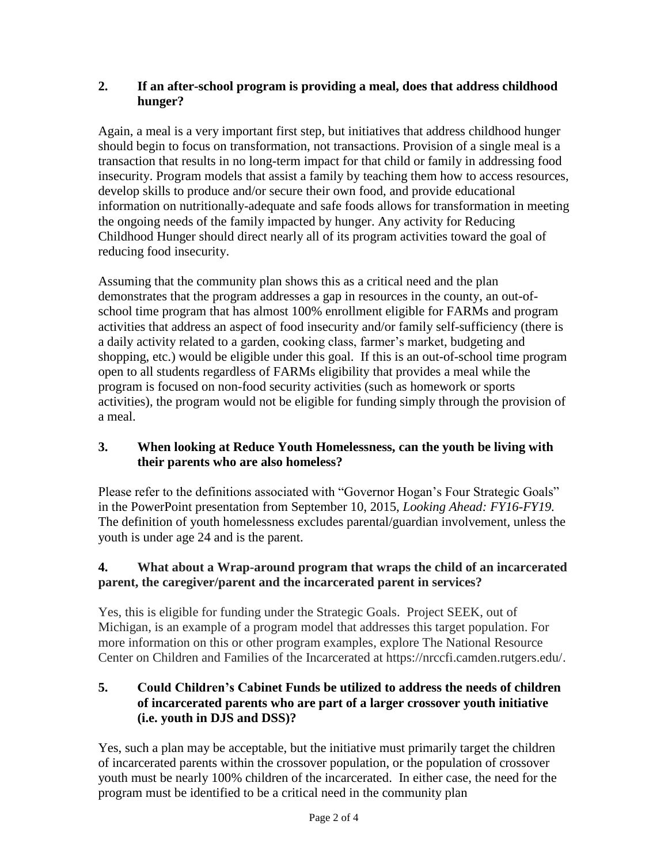#### **2. If an after-school program is providing a meal, does that address childhood hunger?**

Again, a meal is a very important first step, but initiatives that address childhood hunger should begin to focus on transformation, not transactions. Provision of a single meal is a transaction that results in no long-term impact for that child or family in addressing food insecurity. Program models that assist a family by teaching them how to access resources, develop skills to produce and/or secure their own food, and provide educational information on nutritionally-adequate and safe foods allows for transformation in meeting the ongoing needs of the family impacted by hunger. Any activity for Reducing Childhood Hunger should direct nearly all of its program activities toward the goal of reducing food insecurity.

Assuming that the community plan shows this as a critical need and the plan demonstrates that the program addresses a gap in resources in the county, an out-ofschool time program that has almost 100% enrollment eligible for FARMs and program activities that address an aspect of food insecurity and/or family self-sufficiency (there is a daily activity related to a garden, cooking class, farmer's market, budgeting and shopping, etc.) would be eligible under this goal. If this is an out-of-school time program open to all students regardless of FARMs eligibility that provides a meal while the program is focused on non-food security activities (such as homework or sports activities), the program would not be eligible for funding simply through the provision of a meal.

## **3. When looking at Reduce Youth Homelessness, can the youth be living with their parents who are also homeless?**

Please refer to the definitions associated with "Governor Hogan's Four Strategic Goals" in the PowerPoint presentation from September 10, 2015, *Looking Ahead: FY16-FY19.* The definition of youth homelessness excludes parental/guardian involvement, unless the youth is under age 24 and is the parent.

## **4. What about a Wrap-around program that wraps the child of an incarcerated parent, the caregiver/parent and the incarcerated parent in services?**

Yes, this is eligible for funding under the Strategic Goals. Project SEEK, out of Michigan, is an example of a program model that addresses this target population. For more information on this or other program examples, explore The National Resource Center on Children and Families of the Incarcerated at https://nrccfi.camden.rutgers.edu/.

### **5. Could Children's Cabinet Funds be utilized to address the needs of children of incarcerated parents who are part of a larger crossover youth initiative (i.e. youth in DJS and DSS)?**

Yes, such a plan may be acceptable, but the initiative must primarily target the children of incarcerated parents within the crossover population, or the population of crossover youth must be nearly 100% children of the incarcerated. In either case, the need for the program must be identified to be a critical need in the community plan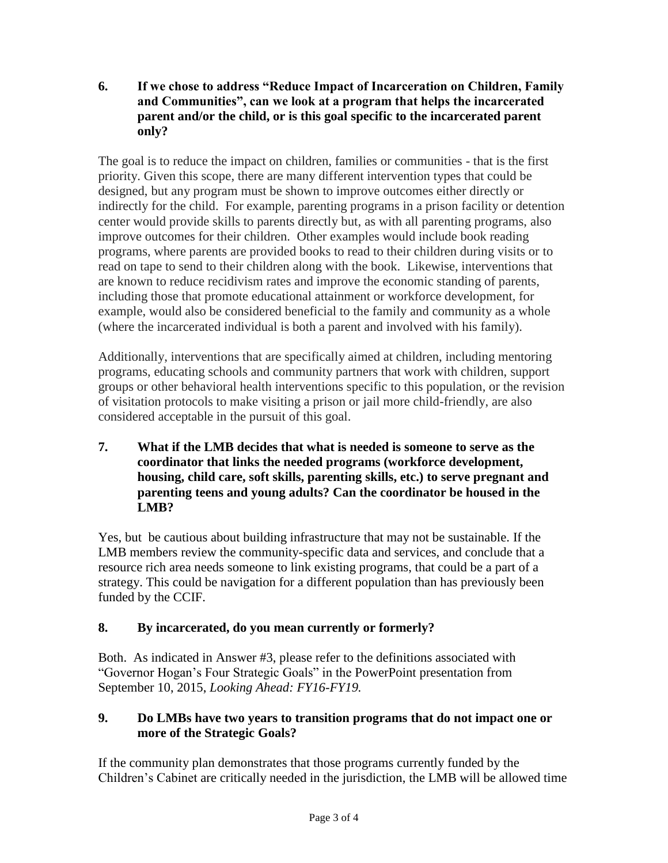**6. If we chose to address "Reduce Impact of Incarceration on Children, Family and Communities", can we look at a program that helps the incarcerated parent and/or the child, or is this goal specific to the incarcerated parent only?**

The goal is to reduce the impact on children, families or communities - that is the first priority. Given this scope, there are many different intervention types that could be designed, but any program must be shown to improve outcomes either directly or indirectly for the child. For example, parenting programs in a prison facility or detention center would provide skills to parents directly but, as with all parenting programs, also improve outcomes for their children. Other examples would include book reading programs, where parents are provided books to read to their children during visits or to read on tape to send to their children along with the book. Likewise, interventions that are known to reduce recidivism rates and improve the economic standing of parents, including those that promote educational attainment or workforce development, for example, would also be considered beneficial to the family and community as a whole (where the incarcerated individual is both a parent and involved with his family).

Additionally, interventions that are specifically aimed at children, including mentoring programs, educating schools and community partners that work with children, support groups or other behavioral health interventions specific to this population, or the revision of visitation protocols to make visiting a prison or jail more child-friendly, are also considered acceptable in the pursuit of this goal.

**7. What if the LMB decides that what is needed is someone to serve as the coordinator that links the needed programs (workforce development, housing, child care, soft skills, parenting skills, etc.) to serve pregnant and parenting teens and young adults? Can the coordinator be housed in the LMB?**

Yes, but be cautious about building infrastructure that may not be sustainable. If the LMB members review the community-specific data and services, and conclude that a resource rich area needs someone to link existing programs, that could be a part of a strategy. This could be navigation for a different population than has previously been funded by the CCIF.

# **8. By incarcerated, do you mean currently or formerly?**

Both. As indicated in Answer #3, please refer to the definitions associated with "Governor Hogan's Four Strategic Goals" in the PowerPoint presentation from September 10, 2015, *Looking Ahead: FY16-FY19.*

#### **9. Do LMBs have two years to transition programs that do not impact one or more of the Strategic Goals?**

If the community plan demonstrates that those programs currently funded by the Children's Cabinet are critically needed in the jurisdiction, the LMB will be allowed time